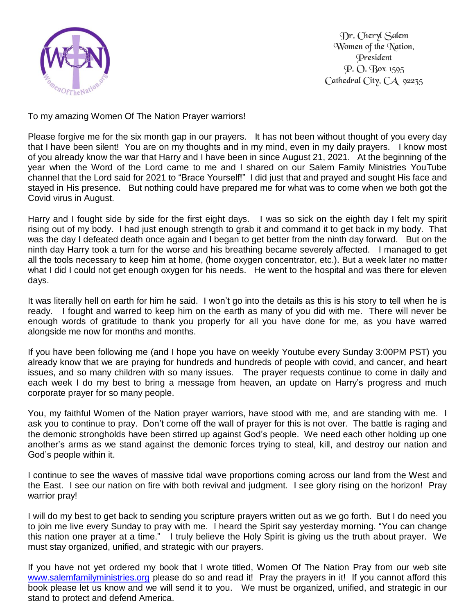

Dr. Cheryl Salem Women of the Nation, President P. O. Box 1595 Cathedral City, CA 92235

To my amazing Women Of The Nation Prayer warriors!

Please forgive me for the six month gap in our prayers. It has not been without thought of you every day that I have been silent! You are on my thoughts and in my mind, even in my daily prayers. I know most of you already know the war that Harry and I have been in since August 21, 2021. At the beginning of the year when the Word of the Lord came to me and I shared on our Salem Family Ministries YouTube channel that the Lord said for 2021 to "Brace Yourself!" I did just that and prayed and sought His face and stayed in His presence. But nothing could have prepared me for what was to come when we both got the Covid virus in August.

Harry and I fought side by side for the first eight days. I was so sick on the eighth day I felt my spirit rising out of my body. I had just enough strength to grab it and command it to get back in my body. That was the day I defeated death once again and I began to get better from the ninth day forward. But on the ninth day Harry took a turn for the worse and his breathing became severely affected. I managed to get all the tools necessary to keep him at home, (home oxygen concentrator, etc.). But a week later no matter what I did I could not get enough oxygen for his needs. He went to the hospital and was there for eleven days.

It was literally hell on earth for him he said. I won't go into the details as this is his story to tell when he is ready. I fought and warred to keep him on the earth as many of you did with me. There will never be enough words of gratitude to thank you properly for all you have done for me, as you have warred alongside me now for months and months.

If you have been following me (and I hope you have on weekly Youtube every Sunday 3:00PM PST) you already know that we are praying for hundreds and hundreds of people with covid, and cancer, and heart issues, and so many children with so many issues. The prayer requests continue to come in daily and each week I do my best to bring a message from heaven, an update on Harry's progress and much corporate prayer for so many people.

You, my faithful Women of the Nation prayer warriors, have stood with me, and are standing with me. I ask you to continue to pray. Don't come off the wall of prayer for this is not over. The battle is raging and the demonic strongholds have been stirred up against God's people. We need each other holding up one another's arms as we stand against the demonic forces trying to steal, kill, and destroy our nation and God's people within it.

I continue to see the waves of massive tidal wave proportions coming across our land from the West and the East. I see our nation on fire with both revival and judgment. I see glory rising on the horizon! Pray warrior pray!

I will do my best to get back to sending you scripture prayers written out as we go forth. But I do need you to join me live every Sunday to pray with me. I heard the Spirit say yesterday morning. "You can change this nation one prayer at a time." I truly believe the Holy Spirit is giving us the truth about prayer. We must stay organized, unified, and strategic with our prayers.

If you have not yet ordered my book that I wrote titled, Women Of The Nation Pray from our web site [www.salemfamilyministries.org](http://www.salemfamilyministries.org/) please do so and read it! Pray the prayers in it! If you cannot afford this book please let us know and we will send it to you. We must be organized, unified, and strategic in our stand to protect and defend America.